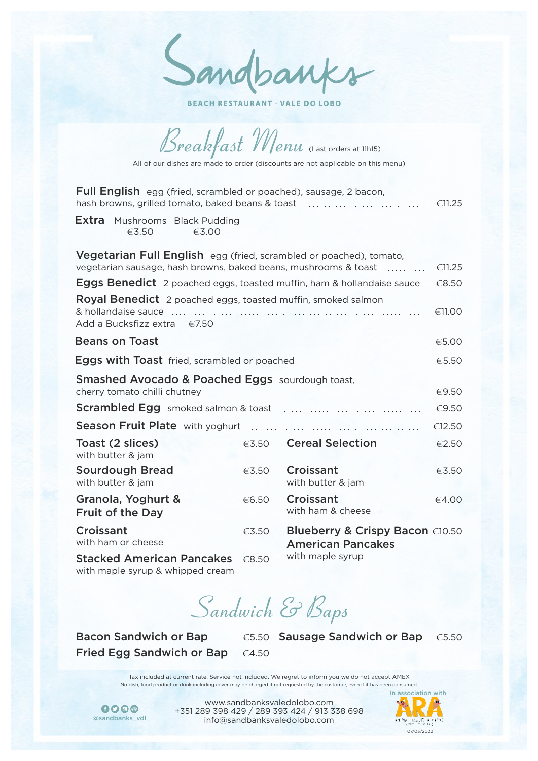Sandbanks

**BEACH RESTAURANT · VALE DO LOBO** 

| Breakfast 'I'l                                                                                                                                         |                                                                              | <b>enu</b> (Last orders at 11h15)                           |        |
|--------------------------------------------------------------------------------------------------------------------------------------------------------|------------------------------------------------------------------------------|-------------------------------------------------------------|--------|
| All of our dishes are made to order (discounts are not applicable on this menu)                                                                        |                                                                              |                                                             |        |
| Full English egg (fried, scrambled or poached), sausage, 2 bacon,<br>hash browns, grilled tomato, baked beans & toast                                  |                                                                              |                                                             | €11.25 |
| <b>Extra</b> Mushrooms Black Pudding<br>€3.50<br>€3.00                                                                                                 |                                                                              |                                                             |        |
| <b>Vegetarian Full English</b> egg (fried, scrambled or poached), tomato,<br>vegetarian sausage, hash browns, baked beans, mushrooms & toast<br>€11.25 |                                                                              |                                                             |        |
|                                                                                                                                                        | <b>Eggs Benedict</b> 2 poached eggs, toasted muffin, ham & hollandaise sauce |                                                             |        |
| <b>Royal Benedict</b> 2 poached eggs, toasted muffin, smoked salmon<br>Add a Bucksfizz extra €7.50                                                     |                                                                              |                                                             | €11.00 |
| Beans on Toast March 1998 and Sean March 1999 and Sean March 1999 and Sean March 1999 and Sean March 1999 and S                                        |                                                                              |                                                             | €5.00  |
|                                                                                                                                                        |                                                                              |                                                             | €5.50  |
| <b>Smashed Avocado &amp; Poached Eggs</b> sourdough toast,                                                                                             |                                                                              |                                                             | €9.50  |
|                                                                                                                                                        |                                                                              |                                                             | €9.50  |
|                                                                                                                                                        |                                                                              |                                                             | €12.50 |
| Toast (2 slices)<br>with butter & jam                                                                                                                  |                                                                              | €3.50 Cereal Selection                                      | €2.50  |
| <b>Sourdough Bread</b><br>with butter & jam                                                                                                            | $\epsilon$ 3.50                                                              | Croissant<br>with butter & jam                              | €3.50  |
| Granola, Yoghurt &<br><b>Fruit of the Day</b>                                                                                                          | €6.50                                                                        | Croissant<br>with ham & cheese                              | €4.00  |
| Croissant<br>with ham or cheese                                                                                                                        | $\epsilon$ 3.50                                                              | Blueberry & Crispy Bacon €10.50<br><b>American Pancakes</b> |        |
| <b>Stacked American Pancakes</b><br>with maple syrup & whipped cream                                                                                   | €8.50                                                                        | with maple syrup                                            |        |

*Sandwich & Baps*

Bacon Sandwich or Bap Fried Egg Sandwich or Bap

€5.50 Sausage Sandwich or Bap €5.50

Tax included at current rate. Service not included. We regret to inform you we do not accept AMEX No dish, food product or drink including cover may be charged if not requested by the customer, even if it has been consumed.

€4.50

0000

www.sandbanksvaledolobo.com +351 289 398 429 / 289 393 424 / 913 338 698 @sandbanks\_vdl info@sandbanksvaledolobo.com